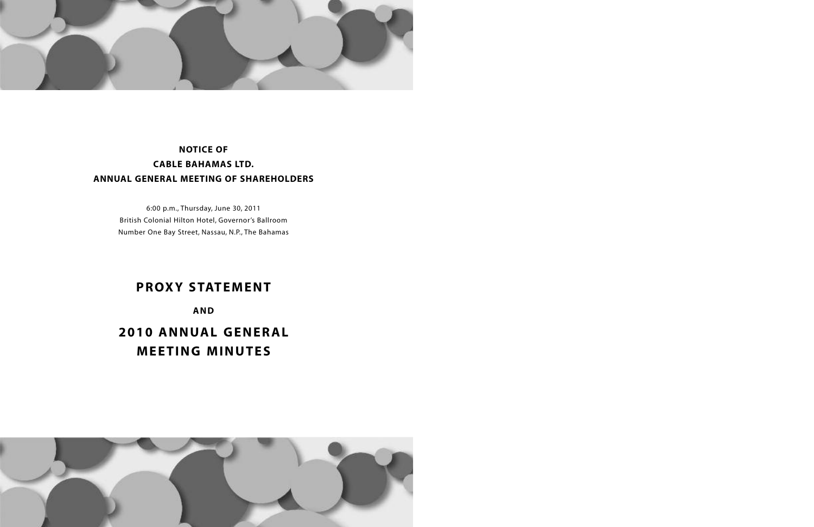

## **NOTICE OF CABLE BAHAMAS LTD. ANNUAL GENERAL MEETING OF SHAREHOLDERS**

6:00 p.m., Thursday, June 30, 2011 British Colonial Hilton Hotel, Governor's Ballroom Number One Bay Street, Nassau, N.P., The Bahamas

## **PROXY STATEMENT**

**AND**

**2010 ANNUAL GENERAL MEETING MINUTES**

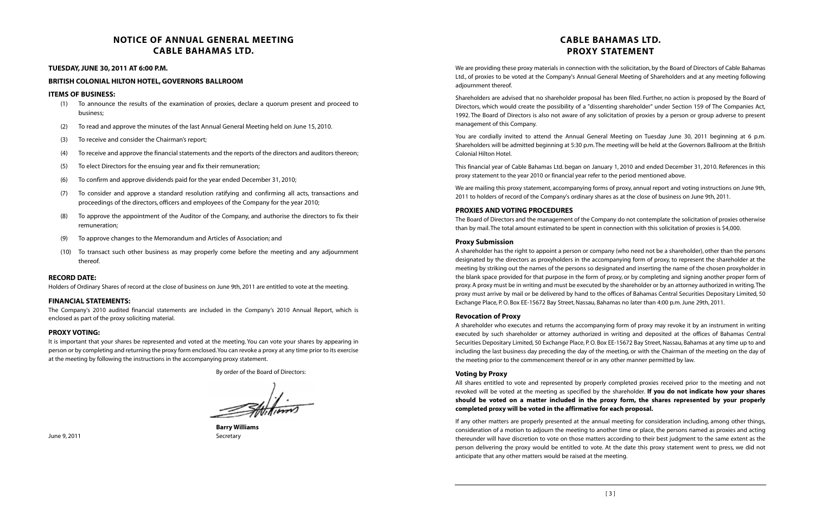## **NOTICE OF ANNUAL GENERAL MEETING CABLE BAHAMAS LTD.**

#### **TUESDAY, JUNE 30, 2011 AT 6:00 P.M.**

#### **BRITISH COLONIAL HILTON HOTEL,GOVERNORS BALLROOM**

#### **ITEMS OF BUSINESS:**

- (1) To announce the results of the examination of proxies, declare a quorum present and proceed to business;
- (2) To read and approve the minutes of the last Annual General Meeting held on June 15, 2010.
- (3) To receive and consider the Chairman's report;
- (4) To receive and approve the financial statements and the reports of the directors and auditors thereon;
- (5) To elect Directors for the ensuing year and fix their remuneration;
- (6) To confirm and approve dividends paid for the year ended December 31, 2010;
- (7) To consider and approve a standard resolution ratifying and confirming all acts, transactions and proceedings of the directors, officers and employees of the Company for the year 2010;
- To approve the appointment of the Auditor of the Company, and authorise the directors to fix their remuneration;
- (9) To approve changes to the Memorandum and Articles of Association; and
- (10) To transact such other business as may properly come before the meeting and any adjournment thereof.

#### **RECORD DATE:**

Holders of Ordinary Shares of record at the close of business on June 9th, 2011 are entitled to vote at the meeting.

#### **FINANCIAL STATEMENTS:**

The Company's 2010 audited financial statements are included in the Company's 2010 Annual Report, which is enclosed as part of the proxy soliciting material.

#### **PROXY VOTING:**

It is important that your shares be represented and voted at the meeting. You can vote your shares by appearing in person or by completing and returning the proxy form enclosed.You can revoke a proxy at any time prior to its exercise at the meeting by following the instructions in the accompanying proxy statement.

A shareholder has the right to appoint a person or company (who need not be a shareholder), other than the persons designated by the directors as proxyholders in the accompanying form of proxy, to represent the shareholder at the meeting by striking out the names of the persons so designated and inserting the name of the chosen proxyholder in the blank space provided for that purpose in the form of proxy, or by completing and signing another proper form of proxy.A proxy must be in writing and must be executed by the shareholder or by an attorney authorized in writing.The proxy must arrive by mail or be delivered by hand to the offices of Bahamas Central Securities Depositary Limited, 50 Exchange Place, P.O. Box EE-15672 Bay Street, Nassau, Bahamas no later than 4:00 p.m. June 29th, 2011.

By order of the Board of Directors:

 $\mathscr{F}$ 

**Barry Williams**

## **CABLE BAHAMAS LTD. PROXY STATEMENT**

We are providing these proxy materials in connection with the solicitation, by the Board of Directors of Cable Bahamas Ltd., of proxies to be voted at the Company's Annual General Meeting of Shareholders and at any meeting following adjournment thereof.

Shareholders are advised that no shareholder proposal has been filed. Further, no action is proposed by the Board of Directors, which would create the possibility of a "dissenting shareholder" under Section 159 of The Companies Act, 1992. The Board of Directors is also not aware of any solicitation of proxies by a person or group adverse to present management of this Company.

You are cordially invited to attend the Annual General Meeting on Tuesday June 30, 2011 beginning at 6 p.m. Shareholders will be admitted beginning at 5:30 p.m.The meeting will be held at the Governors Ballroom at the British Colonial Hilton Hotel.

This financial year of Cable Bahamas Ltd. began on January 1, 2010 and ended December 31, 2010. References in this proxy statement to the year 2010 or financial year refer to the period mentioned above.

We are mailing this proxy statement, accompanying forms of proxy, annual report and voting instructions on June 9th, 2011 to holders of record of the Company's ordinary shares as at the close of business on June 9th, 2011.

#### **PROXIES AND VOTING PROCEDURES**

The Board of Directors and the management of the Company do not contemplate the solicitation of proxies otherwise than by mail.The total amount estimated to be spent in connection with this solicitation of proxies is \$4,000.

#### **Proxy Submission**

#### **Revocation of Proxy**

A shareholder who executes and returns the accompanying form of proxy may revoke it by an instrument in writing executed by such shareholder or attorney authorized in writing and deposited at the offices of Bahamas Central Securities Depositary Limited, 50 Exchange Place, P.O. Box EE-15672 Bay Street, Nassau, Bahamas at any time up to and including the last business day preceding the day of the meeting, or with the Chairman of the meeting on the day of the meeting prior to the commencement thereof or in any other manner permitted by law.

#### **Voting by Proxy**

All shares entitled to vote and represented by properly completed proxies received prior to the meeting and not revoked will be voted at the meeting as specified by the shareholder. **If you do not indicate how your shares should be voted on a matter included in the proxy form, the shares represented by your properly completed proxy will be voted in the affirmative for each proposal.**

If any other matters are properly presented at the annual meeting for consideration including, among other things, consideration of a motion to adjourn the meeting to another time or place, the persons named as proxies and acting thereunder will have discretion to vote on those matters according to their best judgment to the same extent as the person delivering the proxy would be entitled to vote. At the date this proxy statement went to press, we did not anticipate that any other matters would be raised at the meeting.

June 9, 2011 **Secretary**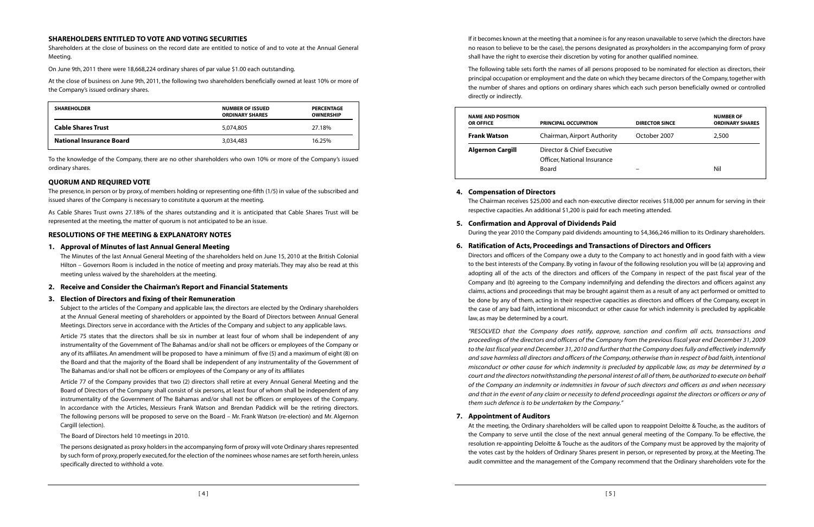If it becomes known at the meeting that a nominee isfor any reason unavailable to serve (which the directors have no reason to believe to be the case), the persons designated as proxyholders in the accompanying form of proxy shall have the right to exercise their discretion by voting for another qualified nominee.

The following table sets forth the names of all persons proposed to be nominated for election as directors, their principal occupation or employment and the date on which they became directors of the Company,together with the number of shares and options on ordinary shares which each such person beneficially owned or controlled directly or indirectly.

| <b>NAME AND POSITION</b><br><b>OR OFFICE</b> | <b>PRINCIPAL OCCUPATION</b>                                        | <b>DIRECTOR SINCE</b> | <b>NUMBER OF</b><br><b>ORDINARY SHARES</b> |
|----------------------------------------------|--------------------------------------------------------------------|-----------------------|--------------------------------------------|
| <b>Frank Watson</b>                          | Chairman, Airport Authority                                        | October 2007          | 2,500                                      |
| <b>Algernon Cargill</b>                      | Director & Chief Executive<br>Officer, National Insurance<br>Board |                       | Nil                                        |

#### **4. Compensation of Directors**

The Chairman receives \$25,000 and each non-executive director receives \$18,000 per annum for serving in their respective capacities. An additional \$1,200 is paid for each meeting attended.

# **5. Confirmation and Approval of Dividends Paid**

During the year 2010 the Company paid dividends amounting to \$4,366,246 million to its Ordinary shareholders.

### **6. Ratification of Acts, Proceedings and Transactions of Directors and Officers**

Directors and officers of the Company owe a duty to the Company to act honestly and in good faith with a view to the best interests of the Company. By voting in favour of the following resolution you will be (a) approving and adopting all of the acts of the directors and officers of the Company in respect of the past fiscal year of the Company and (b) agreeing to the Company indemnifying and defending the directors and officers against any claims, actions and proceedings that may be brought against them as a result of any act performed or omitted to be done by any of them, acting in their respective capacities as directors and officers of the Company, except in the case of any bad faith, intentional misconduct or other cause for which indemnity is precluded by applicable law, as may be determined by a court.

As Cable Shares Trust owns 27.18% of the shares outstanding and it is anticipated that Cable Shares Trust will be represented at the meeting, the matter of quorum is not anticipated to be an issue.

> "RESOLVED that the Company does ratify, approve, sanction and confirm all acts, transactions and proceedings of the directors and officers of the Company from the previous fiscal year end December 31, 2009 to the last fiscal year end December 31,2010 and further that the Company does fully and effectively indemnify and save harmless all directors and officers of the Company,otherwise than in respect of bad faith, intentional misconduct or other cause for which indemnity is precluded by applicable law, as may be determined by a court and the directors notwithstanding the personal interest of all of them,be authorized to execute on behalf of the Company an indemnity or indemnities in favour of such directors and officers as and when necessary and that in the event of any claim or necessity to defend proceedings against the directors or officers or any of them such defence is to be undertaken by the Company."

#### **7. Appointment of Auditors**

At the meeting, the Ordinary shareholders will be called upon to reappoint Deloitte & Touche, as the auditors of the Company to serve until the close of the next annual general meeting of the Company. To be effective, the resolution re-appointing Deloitte & Touche as the auditors of the Company must be approved by the majority of the votes cast by the holders of Ordinary Shares present in person, or represented by proxy, at the Meeting. The audit committee and the management of the Company recommend that the Ordinary shareholders vote for the

The persons designated as proxy holders in the accompanying form of proxy will vote Ordinary shares represented by such form of proxy,properly executed,for the election of the nominees whose names are set forth herein,unless specifically directed to withhold a vote.

#### **SHAREHOLDERS ENTITLED TO VOTE AND VOTING SECURITIES**

Shareholders at the close of business on the record date are entitled to notice of and to vote at the Annual General Meeting.

On June 9th, 2011 there were 18,668,224 ordinary shares of par value \$1.00 each outstanding.

At the close of business on June 9th, 2011, the following two shareholders beneficially owned at least 10% or more of the Company's issued ordinary shares.

| <b>SHAREHOLDER</b>              | <b>NUMBER OF ISSUED</b><br><b>ORDINARY SHARES</b> | <b>PERCENTAGE</b><br><b>OWNERSHIP</b> |
|---------------------------------|---------------------------------------------------|---------------------------------------|
| <b>Cable Shares Trust</b>       | 5,074,805                                         | 27.18%                                |
| <b>National Insurance Board</b> | 3,034,483                                         | 16.25%                                |

To the knowledge of the Company, there are no other shareholders who own 10% or more of the Company's issued ordinary shares.

#### **QUORUM AND REQUIRED VOTE**

The presence, in person or by proxy, of members holding or representing one-fifth (1/5) in value of the subscribed and issued shares of the Company is necessary to constitute a quorum at the meeting.

#### **RESOLUTIONS OF THE MEETING & EXPLANATORY NOTES**

#### **1. Approval of Minutes of last Annual General Meeting**

The Minutes of the last Annual General Meeting of the shareholders held on June 15, 2010 at the British Colonial Hilton – Governors Room is included in the notice of meeting and proxy materials. They may also be read at this meeting unless waived by the shareholders at the meeting.

#### **2. Receive and Consider the Chairman's Report and Financial Statements**

#### **3. Election of Directors and fixing of their Remuneration**

Subject to the articles of the Company and applicable law, the directors are elected by the Ordinary shareholders at the Annual General meeting of shareholders or appointed by the Board of Directors between Annual General Meetings.Directors serve in accordance with the Articles of the Company and subject to any applicable laws.

Article 75 states that the directors shall be six in number at least four of whom shall be independent of any instrumentality of the Government of The Bahamas and/or shall not be officers or employees of the Company or any of its affiliates.An amendment will be proposed to have a minimum of five (5) and a maximum of eight (8) on the Board and that the majority of the Board shall be independent of any instrumentality of the Government of The Bahamas and/or shall not be officers or employees of the Company or any of its affiliates

Article 77 of the Company provides that two (2) directors shall retire at every Annual General Meeting and the Board of Directors of the Company shall consist of six persons, at least four of whom shall be independent of any instrumentality of the Government of The Bahamas and/or shall not be officers or employees of the Company. In accordance with the Articles, Messieurs Frank Watson and Brendan Paddick will be the retiring directors. The following persons will be proposed to serve on the Board – Mr. Frank Watson (re-election) and Mr. Algernon Cargill (election).

#### The Board of Directors held 10 meetings in 2010.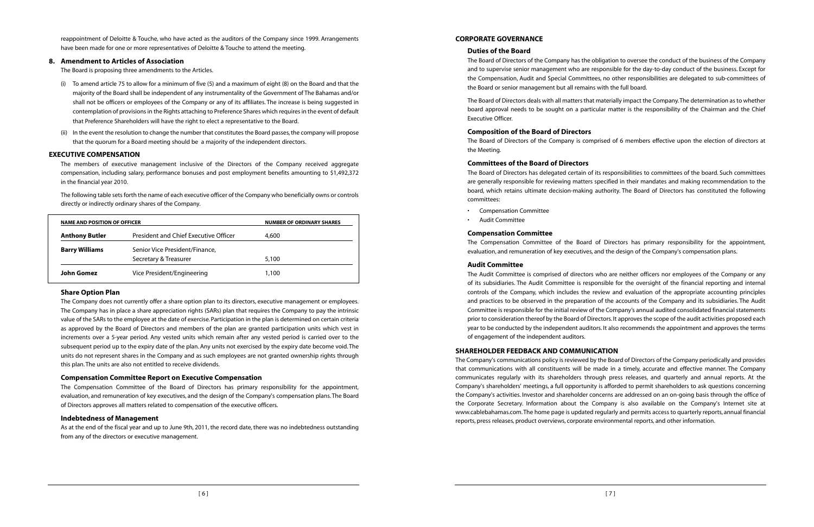#### **CORPORATE GOVERNANCE**

#### **Duties of the Board**

The Board of Directors of the Company has the obligation to oversee the conduct of the business of the Company and to supervise senior management who are responsible for the day-to-day conduct of the business. Except for the Compensation, Audit and Special Committees, no other responsibilities are delegated to sub-committees of the Board or senior management but all remains with the full board.

The Board of Directors deals with all matters that materially impact the Company.The determination as to whether board approval needs to be sought on a particular matter is the responsibility of the Chairman and the Chief Executive Officer.

#### **Composition of the Board of Directors**

The Board of Directors of the Company is comprised of 6 members effective upon the election of directors at the Meeting.

#### **Committees of the Board of Directors**

The Board of Directors has delegated certain of its responsibilities to committees of the board. Such committees are generally responsible for reviewing matters specified in their mandates and making recommendation to the board, which retains ultimate decision-making authority. The Board of Directors has constituted the following committees:

- Compensation Committee
- Audit Committee

#### **Compensation Committee**

The Compensation Committee of the Board of Directors has primary responsibility for the appointment, evaluation, and remuneration of key executives, and the design of the Company's compensation plans.

#### **Audit Committee**

The Company's communications policy is reviewed by the Board of Directors of the Company periodically and provides that communications with all constituents will be made in a timely, accurate and effective manner. The Company communicates regularly with its shareholders through press releases, and quarterly and annual reports. At the Company's shareholders' meetings, a full opportunity is afforded to permit shareholders to ask questions concerning the Company's activities. Investor and shareholder concerns are addressed on an on-going basis through the office of the Corporate Secretary. Information about the Company is also available on the Company's Internet site at www.cablebahamas.com.The home page is updated regularly and permits access to quarterly reports, annual financial reports, press releases, product overviews, corporate environmental reports, and other information.

The Audit Committee is comprised of directors who are neither officers nor employees of the Company or any of its subsidiaries. The Audit Committee is responsible for the oversight of the financial reporting and internal controls of the Company, which includes the review and evaluation of the appropriate accounting principles and practices to be observed in the preparation of the accounts of the Company and its subsidiaries. The Audit Committee is responsible for the initial review of the Company's annual audited consolidated financial statements prior to consideration thereof by the Board of Directors. It approvesthe scope of the audit activities proposed each year to be conducted by the independent auditors. It also recommends the appointment and approves the terms of engagement of the independent auditors.

### **SHAREHOLDER FEEDBACK AND COMMUNICATION**

reappointment of Deloitte & Touche, who have acted as the auditors of the Company since 1999. Arrangements have been made for one or more representatives of Deloitte & Touche to attend the meeting.

#### **8. Amendment to Articles of Association**

The Board is proposing three amendments to the Articles.

- (i) To amend article 75 to allow for a minimum of five (5) and a maximum of eight (8) on the Board and that the majority of the Board shall be independent of any instrumentality of the Government of The Bahamas and/or shall not be officers or employees of the Company or any of its affiliates. The increase is being suggested in contemplation of provisionsin the Rights attaching to Preference Shares which requiresin the event of default that Preference Shareholders will have the right to elect a representative to the Board.
- (ii) In the event the resolution to change the number that constitutes the Board passes, the company will propose that the quorum for a Board meeting should be a majority of the independent directors.

#### **EXECUTIVE COMPENSATION**

The members of executive management inclusive of the Directors of the Company received aggregate compensation, including salary, performance bonuses and post employment benefits amounting to \$1,492,372 in the financial year 2010.

The following table setsforth the name of each executive officer of the Company who beneficially owns or controls directly or indirectly ordinary shares of the Company.

| <b>NAME AND POSITION OF OFFICER</b> |                                                         | <b>NUMBER OF ORDINARY SHARES</b> |
|-------------------------------------|---------------------------------------------------------|----------------------------------|
| <b>Anthony Butler</b>               | President and Chief Executive Officer                   | 4,600                            |
| <b>Barry Williams</b>               | Senior Vice President/Finance,<br>Secretary & Treasurer | 5,100                            |
| John Gomez                          | Vice President/Engineering                              | 1,100                            |

#### **Share Option Plan**

The Company does not currently offer a share option plan to its directors, executive management or employees. The Company has in place a share appreciation rights (SARs) plan that requires the Company to pay the intrinsic value of the SARs to the employee at the date of exercise. Participation in the plan is determined on certain criteria as approved by the Board of Directors and members of the plan are granted participation units which vest in increments over a 5-year period. Any vested units which remain after any vested period is carried over to the subsequent period up to the expiry date of the plan. Any units not exercised by the expiry date become void.The units do not represent shares in the Company and as such employees are not granted ownership rights through this plan.The units are also not entitled to receive dividends.

#### **Compensation Committee Report on Executive Compensation**

The Compensation Committee of the Board of Directors has primary responsibility for the appointment, evaluation, and remuneration of key executives, and the design of the Company's compensation plans.The Board of Directors approves all matters related to compensation of the executive officers.

#### **Indebtedness of Management**

As at the end of the fiscal year and up to June 9th, 2011, the record date, there was no indebtedness outstanding from any of the directors or executive management.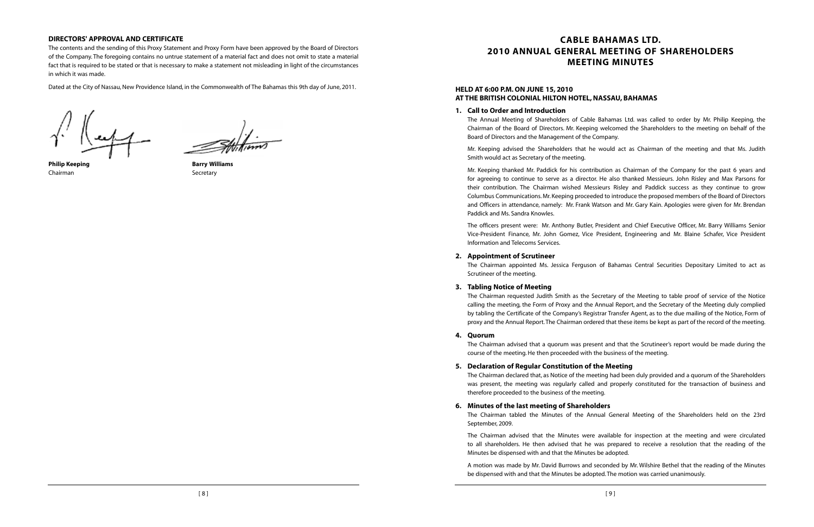## **CABLE BAHAMAS LTD. 2010 ANNUAL GENERAL MEETING OF SHAREHOLDERS MEETING MINUTES**

#### **HELD AT 6:00 P.M. ON JUNE 15, 2010 AT THE BRITISH COLONIAL HILTON HOTEL,NASSAU, BAHAMAS**

#### **1. Call to Order and Introduction**

The Annual Meeting of Shareholders of Cable Bahamas Ltd. was called to order by Mr. Philip Keeping, the Chairman of the Board of Directors. Mr. Keeping welcomed the Shareholders to the meeting on behalf of the Board of Directors and the Management of the Company.

Mr. Keeping advised the Shareholders that he would act as Chairman of the meeting and that Ms. Judith Smith would act as Secretary of the meeting.

Mr. Keeping thanked Mr. Paddick for his contribution as Chairman of the Company for the past 6 years and for agreeing to continue to serve as a director. He also thanked Messieurs. John Risley and Max Parsons for their contribution. The Chairman wished Messieurs Risley and Paddick success as they continue to grow Columbus Communications.Mr.Keeping proceeded to introduce the proposed members of the Board of Directors and Officers in attendance, namely: Mr. Frank Watson and Mr. Gary Kain. Apologies were given for Mr. Brendan Paddick and Ms. Sandra Knowles.

The officers present were: Mr. Anthony Butler, President and Chief Executive Officer, Mr. Barry Williams Senior Vice-President Finance, Mr. John Gomez, Vice President, Engineering and Mr. Blaine Schafer, Vice President Information and Telecoms Services.

#### **2. Appointment of Scrutineer**

The Chairman appointed Ms. Jessica Ferguson of Bahamas Central Securities Depositary Limited to act as Scrutineer of the meeting.

#### **3. Tabling Notice of Meeting**

The Chairman requested Judith Smith as the Secretary of the Meeting to table proof of service of the Notice calling the meeting, the Form of Proxy and the Annual Report, and the Secretary of the Meeting duly complied by tabling the Certificate of the Company's Registrar Transfer Agent, as to the due mailing of the Notice, Form of proxy and the Annual Report.The Chairman ordered that these items be kept as part of the record of the meeting.

#### **4. Quorum**

The Chairman advised that a quorum was present and that the Scrutineer's report would be made during the course of the meeting.He then proceeded with the business of the meeting.

**5. Declaration of Regular Constitution of the Meeting**

The Chairman declared that, as Notice of the meeting had been duly provided and a quorum of the Shareholders was present, the meeting was regularly called and properly constituted for the transaction of business and therefore proceeded to the business of the meeting.

## **6. Minutes of the last meeting of Shareholders** September, 2009.

The Chairman tabled the Minutes of the Annual General Meeting of the Shareholders held on the 23rd

The Chairman advised that the Minutes were available for inspection at the meeting and were circulated to all shareholders. He then advised that he was prepared to receive a resolution that the reading of the Minutes be dispensed with and that the Minutes be adopted.

A motion was made by Mr. David Burrows and seconded by Mr. Wilshire Bethel that the reading of the Minutes be dispensed with and that the Minutes be adopted.The motion was carried unanimously.

#### **DIRECTORS' APPROVAL AND CERTIFICATE**

The contents and the sending of this Proxy Statement and Proxy Form have been approved by the Board of Directors of the Company. The foregoing contains no untrue statement of a material fact and does not omit to state a material fact that is required to be stated or that is necessary to make a statement not misleading in light of the circumstances in which it was made.

Dated at the City of Nassau, New Providence Island, in the Commonwealth of The Bahamas this 9th day of June, 2011.

Chairman Secretary Secretary

**Philip Keeping Barry Williams**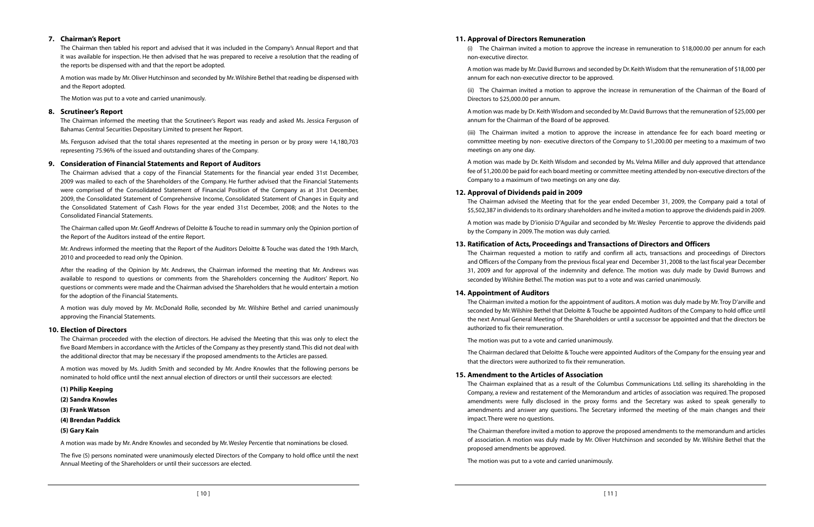#### **11. Approval of Directors Remuneration**

(i) The Chairman invited a motion to approve the increase in remuneration to \$18,000.00 per annum for each non-executive director.

A motion was made by Mr.David Burrows and seconded by Dr.Keith Wisdom that the remuneration of \$18,000 per annum for each non-executive director to be approved.

(ii) The Chairman invited a motion to approve the increase in remuneration of the Chairman of the Board of Directors to \$25,000.00 per annum.

A motion was made by Dr.Keith Wisdom and seconded by Mr.David Burrows that the remuneration of \$25,000 per annum for the Chairman of the Board of be approved.

The Chairman advised the Meeting that for the year ended December 31, 2009, the Company paid a total of \$5,502,387 in dividends to its ordinary shareholders and he invited a motion to approve the dividends paid in 2009.

(iii) The Chairman invited a motion to approve the increase in attendance fee for each board meeting or committee meeting by non- executive directors of the Company to \$1,200.00 per meeting to a maximum of two

meetings on any one day.

A motion was made by Dr. Keith Wisdom and seconded by Ms. Velma Miller and duly approved that attendance fee of \$1,200.00 be paid for each board meeting or committee meeting attended by non-executive directors of the Company to a maximum of two meetings on any one day.

#### **12. Approval of Dividends paid in 2009**

A motion was made by D'ionisio D'Aguilar and seconded by Mr. Wesley Percentie to approve the dividends paid by the Company in 2009.The motion was duly carried.

#### **13. Ratification of Acts, Proceedings and Transactions of Directors and Officers**

The Chairman requested a motion to ratify and confirm all acts, transactions and proceedings of Directors and Officers of the Company from the previous fiscal year end December 31, 2008 to the last fiscal year December 31, 2009 and for approval of the indemnity and defence. The motion was duly made by David Burrows and seconded by Wilshire Bethel.The motion was put to a vote and was carried unanimously.

#### **14. Appointment of Auditors**

The Chairman invited a motion for the appointment of auditors.A motion was duly made by Mr.Troy D'arville and seconded by Mr.Wilshire Bethel that Deloitte & Touche be appointed Auditors of the Company to hold office until the next Annual General Meeting of the Shareholders or until a successor be appointed and that the directors be authorized to fix their remuneration.

The motion was put to a vote and carried unanimously.

The Chairman declared that Deloitte & Touche were appointed Auditors of the Company for the ensuing year and that the directors were authorized to fix their remuneration.

#### **15. Amendment to the Articles of Association**

The Chairman explained that as a result of the Columbus Communications Ltd. selling its shareholding in the Company, a review and restatement of the Memorandum and articles of association was required. The proposed amendments were fully disclosed in the proxy forms and the Secretary was asked to speak generally to amendments and answer any questions. The Secretary informed the meeting of the main changes and their impact.There were no questions.

The Chairman therefore invited a motion to approve the proposed amendments to the memorandum and articles of association. A motion was duly made by Mr. Oliver Hutchinson and seconded by Mr. Wilshire Bethel that the proposed amendments be approved.

The motion was put to a vote and carried unanimously.

#### **7. Chairman's Report**

The Chairman then tabled his report and advised that it was included in the Company's Annual Report and that it was available for inspection. He then advised that he was prepared to receive a resolution that the reading of the reports be dispensed with and that the report be adopted.

A motion was made by Mr.Oliver Hutchinson and seconded by Mr.Wilshire Bethel that reading be dispensed with and the Report adopted.

The Motion was put to a vote and carried unanimously.

#### **8. Scrutineer's Report**

The Chairman informed the meeting that the Scrutineer's Report was ready and asked Ms. Jessica Ferguson of Bahamas Central Securities Depositary Limited to present her Report.

Ms. Ferguson advised that the total shares represented at the meeting in person or by proxy were 14,180,703 representing 75.96% of the issued and outstanding shares of the Company.

#### **9. Consideration of Financial Statements and Report of Auditors**

The Chairman advised that a copy of the Financial Statements for the financial year ended 31st December, 2009 was mailed to each of the Shareholders of the Company. He further advised that the Financial Statements were comprised of the Consolidated Statement of Financial Position of the Company as at 31st December, 2009, the Consolidated Statement of Comprehensive Income, Consolidated Statement of Changes in Equity and the Consolidated Statement of Cash Flows for the year ended 31st December, 2008; and the Notes to the Consolidated Financial Statements.

The Chairman called upon Mr.Geoff Andrews of Deloitte & Touche to read in summary only the Opinion portion of the Report of the Auditors instead of the entire Report.

Mr. Andrews informed the meeting that the Report of the Auditors Deloitte & Touche was dated the 19th March, 2010 and proceeded to read only the Opinion.

After the reading of the Opinion by Mr. Andrews, the Chairman informed the meeting that Mr. Andrews was available to respond to questions or comments from the Shareholders concerning the Auditors' Report. No questions or comments were made and the Chairman advised the Shareholders that he would entertain a motion for the adoption of the Financial Statements.

A motion was duly moved by Mr. McDonald Rolle, seconded by Mr. Wilshire Bethel and carried unanimously approving the Financial Statements.

#### **10. Election of Directors**

The Chairman proceeded with the election of directors. He advised the Meeting that this was only to elect the five Board Members in accordance with the Articles of the Company as they presently stand.This did not deal with the additional director that may be necessary if the proposed amendments to the Articles are passed.

A motion was moved by Ms. Judith Smith and seconded by Mr. Andre Knowles that the following persons be nominated to hold office until the next annual election of directors or until their successors are elected:

- **(1) Philip Keeping**
- **(2) Sandra Knowles**
- **(3) Frank Watson**
- **(4) Brendan Paddick**
- **(5) Gary Kain**

A motion was made by Mr. Andre Knowles and seconded by Mr.Wesley Percentie that nominations be closed.

The five (5) persons nominated were unanimously elected Directors of the Company to hold office until the next Annual Meeting of the Shareholders or until their successors are elected.